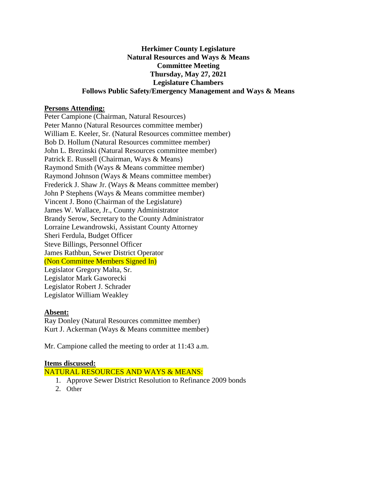### **Herkimer County Legislature Natural Resources and Ways & Means Committee Meeting Thursday, May 27, 2021 Legislature Chambers Follows Public Safety/Emergency Management and Ways & Means**

#### **Persons Attending:**

Peter Campione (Chairman, Natural Resources) Peter Manno (Natural Resources committee member) William E. Keeler, Sr. (Natural Resources committee member) Bob D. Hollum (Natural Resources committee member) John L. Brezinski (Natural Resources committee member) Patrick E. Russell (Chairman, Ways & Means) Raymond Smith (Ways & Means committee member) Raymond Johnson (Ways & Means committee member) Frederick J. Shaw Jr. (Ways & Means committee member) John P Stephens (Ways & Means committee member) Vincent J. Bono (Chairman of the Legislature) James W. Wallace, Jr., County Administrator Brandy Serow, Secretary to the County Administrator Lorraine Lewandrowski, Assistant County Attorney Sheri Ferdula, Budget Officer Steve Billings, Personnel Officer James Rathbun, Sewer District Operator (Non Committee Members Signed In) Legislator Gregory Malta, Sr. Legislator Mark Gaworecki Legislator Robert J. Schrader Legislator William Weakley

#### **Absent:**

Ray Donley (Natural Resources committee member) Kurt J. Ackerman (Ways & Means committee member)

Mr. Campione called the meeting to order at 11:43 a.m.

#### **Items discussed:**

NATURAL RESOURCES AND WAYS & MEANS:

- 1. Approve Sewer District Resolution to Refinance 2009 bonds
- 2. Other